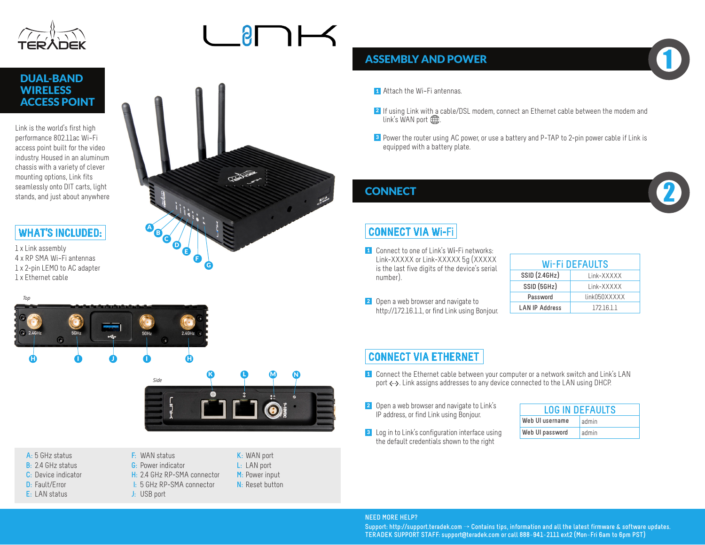

DUAL-BAND

## Link is the world's first highperformance 802.11ac Wi-Fi **WIRELESS** ACCESS POINT

access point built for the video industry. Housed in an aluminum chassis with a variety of clever mounting options, Link fits seamlessly onto DIT carts, light stands, and just about anywhere

### **WHAT'S INCLUDED:**

1 x Link assembly 4 x RP-SMA Wi-Fi antennas 1 x 2-pin LEMO to AC adapter 1 x Ethernet cable





# K L M N *Side* ig i

- **A:** 5 GHz status **B:** 2.4 GHz status
- **C:** Device indicator
- **D:** Fault/Error
- **E:** LAN status

**F:** WAN status **G:** Power indicator **H:** 2.4 GHz RP-SMA connector **I:** 5 GHz RP-SMA connector **J:** USB port



### **ASSEMBLY AND POWER**

- **1** Attach the Wi-Fi antennas.
- 2 If using Link with a cable/DSL modem, connect an Ethernet cable between the modem and link's WAN port  $\bigoplus$ .
- <sup>3</sup> Power the router using AC power, or use a battery and P-TAP to 2-pin power cable if Link is equipped with a battery plate.

### **CONNECT**

### **CONNECT VIA W**i**-**Fi

- **1** Connect to one of Link's Wi-Fi networks: Link-XXXXX or Link-XXXXX 5g (XXXXX is the last five digits of the device's serial number).
- **2** Open a web browser and navigate to http://172.16.1.1, or find Link using Bonjour.

| Wi-Fi DEFAULTS        |              |  |  |  |  |  |
|-----------------------|--------------|--|--|--|--|--|
| <b>SSID (2.4GHz)</b>  | Link-XXXXX   |  |  |  |  |  |
| SSID (5GHz)           | Link-XXXXX   |  |  |  |  |  |
| Password              | link050XXXXX |  |  |  |  |  |
| <b>LAN IP Address</b> | 1721611      |  |  |  |  |  |

1

2

### **CONNECT VIA ETHERNET**

- **1** Connect the Ethernet cable between your computer or a network switch and Link's LAN port  $\langle \cdot \cdot \rangle$ . Link assigns addresses to any device connected to the LAN using DHCP.
- **2** Open a web browser and navigate to Link's IP address, or find Link using Bonjour.
- **3** Log in to Link's configuration interface using the default credentials shown to the right

| <b>LOG IN DEFAULTS</b> |       |  |  |  |  |
|------------------------|-------|--|--|--|--|
| Web UI username        | admin |  |  |  |  |
| Web UI password        | admin |  |  |  |  |

### **NEED MORE HELP?**

**Support: http://support.teradek.com** → **Contains tips, information and all the latest firmware & software updates. TERADEK SUPPORT STAFF: support@teradek.com or call 888**−**941**−**2111 ext2 (Mon**−**Fri 6am to 6pm PST)**